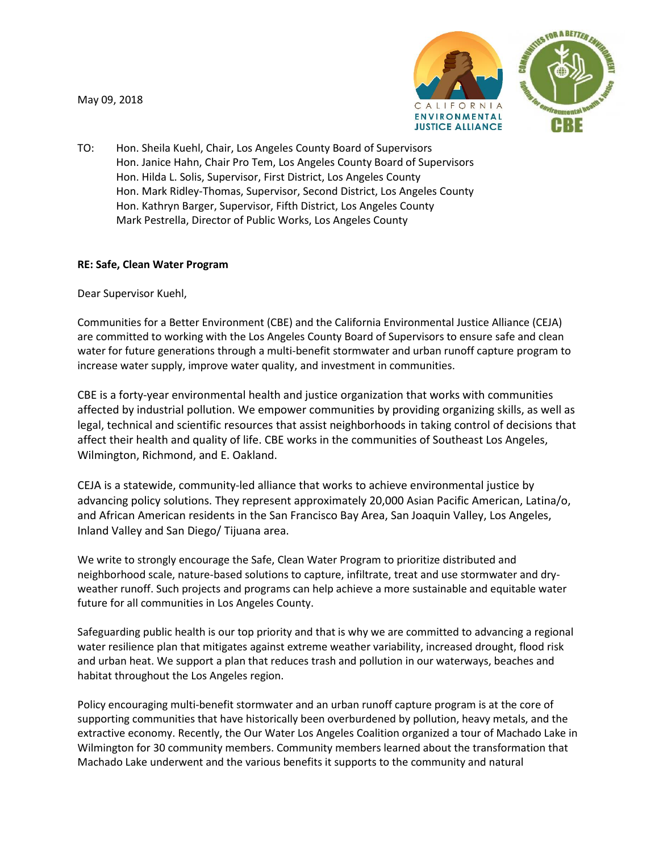May 09, 2018



TO: Hon. Sheila Kuehl, Chair, Los Angeles County Board of Supervisors Hon. Janice Hahn, Chair Pro Tem, Los Angeles County Board of Supervisors Hon. Hilda L. Solis, Supervisor, First District, Los Angeles County Hon. Mark Ridley-Thomas, Supervisor, Second District, Los Angeles County Hon. Kathryn Barger, Supervisor, Fifth District, Los Angeles County Mark Pestrella, Director of Public Works, Los Angeles County

## **RE: Safe, Clean Water Program**

Dear Supervisor Kuehl,

Communities for a Better Environment (CBE) and the California Environmental Justice Alliance (CEJA) are committed to working with the Los Angeles County Board of Supervisors to ensure safe and clean water for future generations through a multi-benefit stormwater and urban runoff capture program to increase water supply, improve water quality, and investment in communities.

CBE is a forty-year environmental health and justice organization that works with communities affected by industrial pollution. We empower communities by providing organizing skills, as well as legal, technical and scientific resources that assist neighborhoods in taking control of decisions that affect their health and quality of life. CBE works in the communities of Southeast Los Angeles, Wilmington, Richmond, and E. Oakland.

CEJA is a statewide, community-led alliance that works to achieve environmental justice by advancing policy solutions. They represent approximately 20,000 Asian Pacific American, Latina/o, and African American residents in the San Francisco Bay Area, San Joaquin Valley, Los Angeles, Inland Valley and San Diego/ Tijuana area.

We write to strongly encourage the Safe, Clean Water Program to prioritize distributed and neighborhood scale, nature-based solutions to capture, infiltrate, treat and use stormwater and dryweather runoff. Such projects and programs can help achieve a more sustainable and equitable water future for all communities in Los Angeles County.

Safeguarding public health is our top priority and that is why we are committed to advancing a regional water resilience plan that mitigates against extreme weather variability, increased drought, flood risk and urban heat. We support a plan that reduces trash and pollution in our waterways, beaches and habitat throughout the Los Angeles region.

Policy encouraging multi-benefit stormwater and an urban runoff capture program is at the core of supporting communities that have historically been overburdened by pollution, heavy metals, and the extractive economy. Recently, the Our Water Los Angeles Coalition organized a tour of Machado Lake in Wilmington for 30 community members. Community members learned about the transformation that Machado Lake underwent and the various benefits it supports to the community and natural